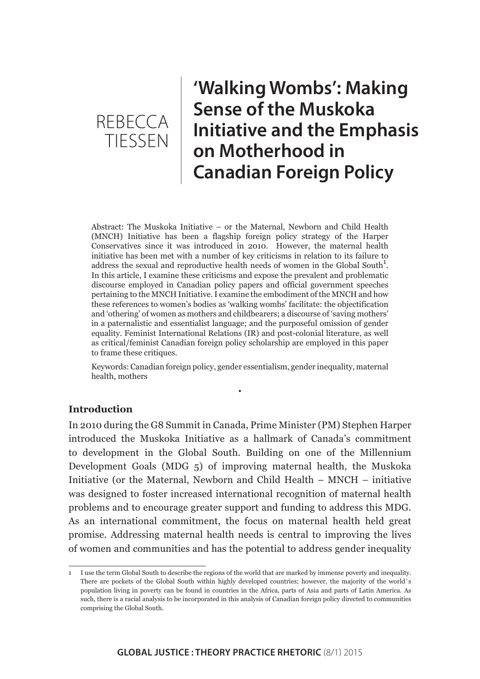## **'Walking Wombs': Making Sense of the Muskoka Initiative and the Emphasis on Motherhood in Canadian Foreign Policy**

Abstract: The Muskoka Initiative – or the Maternal, Newborn and Child Health (MNCH) Initiative has been a flagship foreign policy strategy of the Harper Conservatives since it was introduced in 2010. However, the maternal health initiative has been met with a number of key criticisms in relation to its failure to address the sexual and reproductive health needs of women in the Global South<sup>1</sup>. In this article, I examine these criticisms and expose the prevalent and problematic discourse employed in Canadian policy papers and official government speeches pertaining to the MNCH Initiative. I examine the embodiment of the MNCH and how these references to women's bodies as 'walking wombs' facilitate: the objectification and 'othering' of women as mothers and childbearers; a discourse of 'saving mothers' in a paternalistic and essentialist language; and the purposeful omission of gender equality. Feminist International Relations (IR) and post-colonial literature, as well as critical/feminist Canadian foreign policy scholarship are employed in this paper to frame these critiques.

Keywords: Canadian foreign policy, gender essentialism, gender inequality, maternal health, mothers

•

## **Introduction**

In 2010 during the G8 Summit in Canada, Prime Minister (PM) Stephen Harper introduced the Muskoka Initiative as a hallmark of Canada's commitment to development in the Global South. Building on one of the Millennium Development Goals (MDG 5) of improving maternal health, the Muskoka Initiative (or the Maternal, Newborn and Child Health – MNCH – initiative was designed to foster increased international recognition of maternal health problems and to encourage greater support and funding to address this MDG. As an international commitment, the focus on maternal health held great promise. Addressing maternal health needs is central to improving the lives of women and communities and has the potential to address gender inequality

<sup>1</sup> I use the term Global South to describe the regions of the world that are marked by immense poverty and inequality. There are pockets of the Global South within highly developed countries; however, the majority of the world`s population living in poverty can be found in countries in the Africa, parts of Asia and parts of Latin America. As such, there is a racial analysis to be incorporated in this analysis of Canadian foreign policy directed to communities comprising the Global South.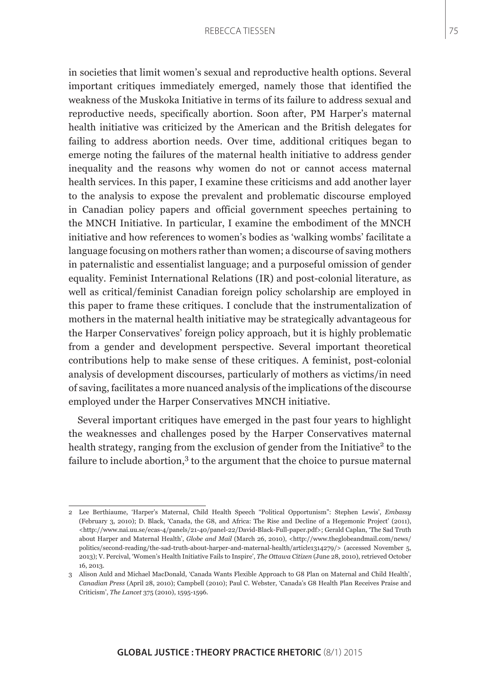in societies that limit women's sexual and reproductive health options. Several important critiques immediately emerged, namely those that identified the weakness of the Muskoka Initiative in terms of its failure to address sexual and reproductive needs, specifically abortion. Soon after, PM Harper's maternal health initiative was criticized by the American and the British delegates for failing to address abortion needs. Over time, additional critiques began to emerge noting the failures of the maternal health initiative to address gender inequality and the reasons why women do not or cannot access maternal health services. In this paper, I examine these criticisms and add another layer to the analysis to expose the prevalent and problematic discourse employed in Canadian policy papers and official government speeches pertaining to the MNCH Initiative. In particular, I examine the embodiment of the MNCH initiative and how references to women's bodies as 'walking wombs' facilitate a language focusing on mothers rather than women; a discourse of saving mothers in paternalistic and essentialist language; and a purposeful omission of gender equality. Feminist International Relations (IR) and post-colonial literature, as well as critical/feminist Canadian foreign policy scholarship are employed in this paper to frame these critiques. I conclude that the instrumentalization of mothers in the maternal health initiative may be strategically advantageous for the Harper Conservatives' foreign policy approach, but it is highly problematic from a gender and development perspective. Several important theoretical contributions help to make sense of these critiques. A feminist, post-colonial analysis of development discourses, particularly of mothers as victims/in need of saving, facilitates a more nuanced analysis of the implications of the discourse employed under the Harper Conservatives MNCH initiative.

Several important critiques have emerged in the past four years to highlight the weaknesses and challenges posed by the Harper Conservatives maternal health strategy, ranging from the exclusion of gender from the Initiative<sup>2</sup> to the failure to include abortion,<sup>3</sup> to the argument that the choice to pursue maternal

<sup>2</sup> Lee Berthiaume, 'Harper's Maternal, Child Health Speech "Political Opportunism": Stephen Lewis', *Embassy* (February 3, 2010); D. Black, 'Canada, the G8, and Africa: The Rise and Decline of a Hegemonic Project' (2011), <http://www.nai.uu.se/ecas-4/panels/21-40/panel-22/David-Black-Full-paper.pdf>; Gerald Caplan, 'The Sad Truth about Harper and Maternal Health', *Globe and Mail* (March 26, 2010), <http://www.theglobeandmail.com/news/ politics/second-reading/the-sad-truth-about-harper-and-maternal-health/article1314279/> (accessed November 5, 2013); V. Percival, 'Women's Health Initiative Fails to Inspire', *The Ottawa Citizen* (June 28, 2010), retrieved October 16, 2013.

<sup>3</sup> Alison Auld and Michael MacDonald, 'Canada Wants Flexible Approach to G8 Plan on Maternal and Child Health', *Canadian Press* (April 28, 2010); Campbell (2010); Paul C. Webster, 'Canada's G8 Health Plan Receives Praise and Criticism', *The Lancet* 375 (2010), 1595-1596.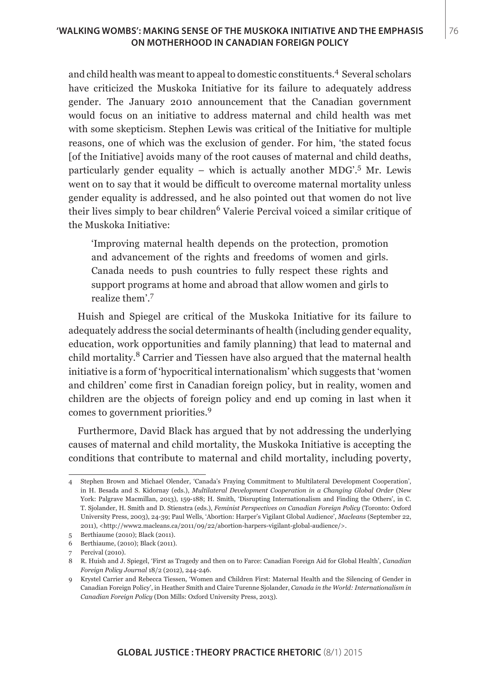and child health was meant to appeal to domestic constituents.4 Several scholars have criticized the Muskoka Initiative for its failure to adequately address gender. The January 2010 announcement that the Canadian government would focus on an initiative to address maternal and child health was met with some skepticism. Stephen Lewis was critical of the Initiative for multiple reasons, one of which was the exclusion of gender. For him, 'the stated focus [of the Initiative] avoids many of the root causes of maternal and child deaths, particularly gender equality – which is actually another MDG'.<sup>5</sup> Mr. Lewis went on to say that it would be difficult to overcome maternal mortality unless gender equality is addressed, and he also pointed out that women do not live their lives simply to bear children<sup>6</sup> Valerie Percival voiced a similar critique of the Muskoka Initiative:

'Improving maternal health depends on the protection, promotion and advancement of the rights and freedoms of women and girls. Canada needs to push countries to fully respect these rights and support programs at home and abroad that allow women and girls to realize them'.<sup>7</sup>

Huish and Spiegel are critical of the Muskoka Initiative for its failure to adequately address the social determinants of health (including gender equality, education, work opportunities and family planning) that lead to maternal and child mortality.8 Carrier and Tiessen have also argued that the maternal health initiative is a form of 'hypocritical internationalism' which suggests that 'women and children' come first in Canadian foreign policy, but in reality, women and children are the objects of foreign policy and end up coming in last when it comes to government priorities.<sup>9</sup>

Furthermore, David Black has argued that by not addressing the underlying causes of maternal and child mortality, the Muskoka Initiative is accepting the conditions that contribute to maternal and child mortality, including poverty,

<sup>4</sup> Stephen Brown and Michael Olender, 'Canada's Fraying Commitment to Multilateral Development Cooperation', in H. Besada and S. Kidornay (eds.), *Multilateral Development Cooperation in a Changing Global Order* (New York: Palgrave Macmillan, 2013), 159-188; H. Smith, 'Disrupting Internationalism and Finding the Others', in C. T. Sjolander, H. Smith and D. Stienstra (eds.), *Feminist Perspectives on Canadian Foreign Policy* (Toronto: Oxford University Press, 2003), 24-39; Paul Wells, 'Abortion: Harper's Vigilant Global Audience', *Macleans* (September 22, 2011), <http://www2.macleans.ca/2011/09/22/abortion-harpers-vigilant-global-audience/>.

<sup>5</sup> Berthiaume (2010); Black (2011).

<sup>6</sup> Berthiaume, (2010); Black (2011).

<sup>7</sup> Percival (2010).

<sup>8</sup> R. Huish and J. Spiegel, 'First as Tragedy and then on to Farce: Canadian Foreign Aid for Global Health', *Canadian Foreign Policy Journal* 18/2 (2012), 244-246.

<sup>9</sup> Krystel Carrier and Rebecca Tiessen, 'Women and Children First: Maternal Health and the Silencing of Gender in Canadian Foreign Policy', in Heather Smith and Claire Turenne Sjolander, *Canada in the World: Internationalism in Canadian Foreign Policy* (Don Mills: Oxford University Press, 2013).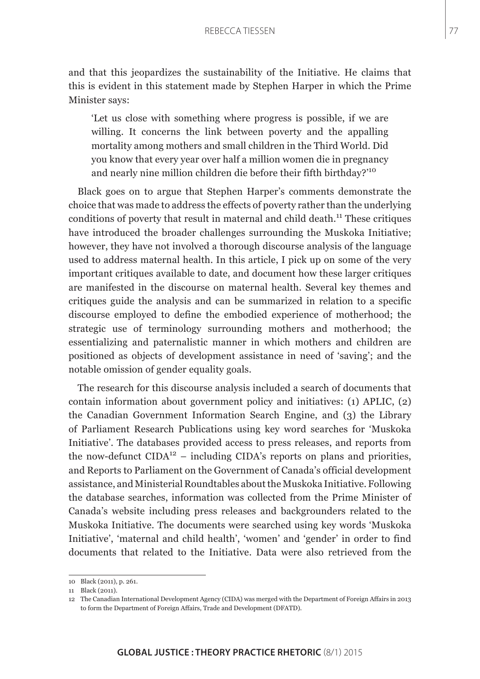and that this jeopardizes the sustainability of the Initiative. He claims that this is evident in this statement made by Stephen Harper in which the Prime Minister says:

'Let us close with something where progress is possible, if we are willing. It concerns the link between poverty and the appalling mortality among mothers and small children in the Third World. Did you know that every year over half a million women die in pregnancy and nearly nine million children die before their fifth birthday?'<sup>10</sup>

Black goes on to argue that Stephen Harper's comments demonstrate the choice that was made to address the effects of poverty rather than the underlying conditions of poverty that result in maternal and child death.<sup>11</sup> These critiques have introduced the broader challenges surrounding the Muskoka Initiative; however, they have not involved a thorough discourse analysis of the language used to address maternal health. In this article, I pick up on some of the very important critiques available to date, and document how these larger critiques are manifested in the discourse on maternal health. Several key themes and critiques guide the analysis and can be summarized in relation to a specific discourse employed to define the embodied experience of motherhood; the strategic use of terminology surrounding mothers and motherhood; the essentializing and paternalistic manner in which mothers and children are positioned as objects of development assistance in need of 'saving'; and the notable omission of gender equality goals.

The research for this discourse analysis included a search of documents that contain information about government policy and initiatives: (1) APLIC, (2) the Canadian Government Information Search Engine, and (3) the Library of Parliament Research Publications using key word searches for 'Muskoka Initiative'. The databases provided access to press releases, and reports from the now-defunct  $CIDA^{12}$  – including  $CIDA's$  reports on plans and priorities, and Reports to Parliament on the Government of Canada's official development assistance, and Ministerial Roundtables about the Muskoka Initiative. Following the database searches, information was collected from the Prime Minister of Canada's website including press releases and backgrounders related to the Muskoka Initiative. The documents were searched using key words 'Muskoka Initiative', 'maternal and child health', 'women' and 'gender' in order to find documents that related to the Initiative. Data were also retrieved from the

<sup>10</sup> Black (2011), p. 261.

<sup>11</sup> Black (2011).

<sup>12</sup> The Canadian International Development Agency (CIDA) was merged with the Department of Foreign Affairs in 2013 to form the Department of Foreign Affairs, Trade and Development (DFATD).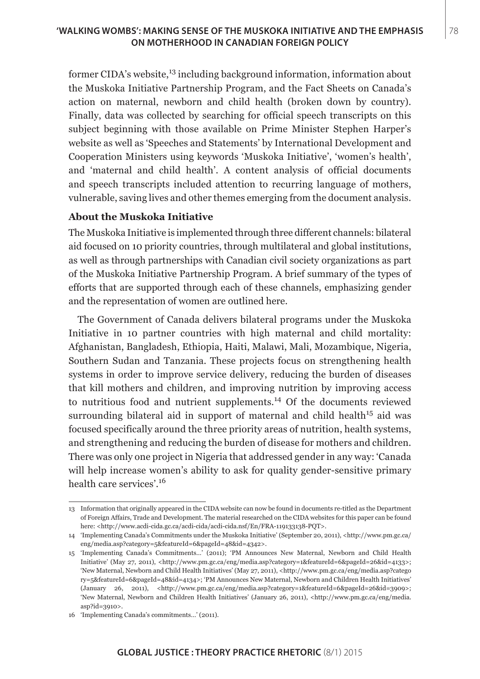## **'WALKING WOMBS': MAKING SENSE OF THE MUSKOKA INITIATIVE AND THE EMPHASIS** 78 **ON MOTHERHOOD IN CANADIAN FOREIGN POLICY**

former CIDA's website,<sup>13</sup> including background information, information about the Muskoka Initiative Partnership Program, and the Fact Sheets on Canada's action on maternal, newborn and child health (broken down by country). Finally, data was collected by searching for official speech transcripts on this subject beginning with those available on Prime Minister Stephen Harper's website as well as 'Speeches and Statements' by International Development and Cooperation Ministers using keywords 'Muskoka Initiative', 'women's health', and 'maternal and child health'. A content analysis of official documents and speech transcripts included attention to recurring language of mothers, vulnerable, saving lives and other themes emerging from the document analysis.

### **About the Muskoka Initiative**

The Muskoka Initiative is implemented through three different channels: bilateral aid focused on 10 priority countries, through multilateral and global institutions, as well as through partnerships with Canadian civil society organizations as part of the Muskoka Initiative Partnership Program. A brief summary of the types of efforts that are supported through each of these channels, emphasizing gender and the representation of women are outlined here.

The Government of Canada delivers bilateral programs under the Muskoka Initiative in 10 partner countries with high maternal and child mortality: Afghanistan, Bangladesh, Ethiopia, Haiti, Malawi, Mali, Mozambique, Nigeria, Southern Sudan and Tanzania. These projects focus on strengthening health systems in order to improve service delivery, reducing the burden of diseases that kill mothers and children, and improving nutrition by improving access to nutritious food and nutrient supplements.14 Of the documents reviewed surrounding bilateral aid in support of maternal and child health<sup>15</sup> aid was focused specifically around the three priority areas of nutrition, health systems, and strengthening and reducing the burden of disease for mothers and children. There was only one project in Nigeria that addressed gender in any way: 'Canada will help increase women's ability to ask for quality gender-sensitive primary health care services'.<sup>16</sup>

<sup>13</sup> Information that originally appeared in the CIDA website can now be found in documents re-titled as the Department of Foreign Affairs, Trade and Development. The material researched on the CIDA websites for this paper can be found here: <http://www.acdi-cida.gc.ca/acdi-cida/acdi-cida.nsf/En/FRA-119133138-PQT>.

<sup>14</sup> 'Implementing Canada's Commitments under the Muskoka Initiative' (September 20, 2011), <http://www.pm.gc.ca/ eng/media.asp?category=5&featureId=6&pageId=48&id=4342>.

<sup>15</sup> 'Implementing Canada's Commitments…' (2011); 'PM Announces New Maternal, Newborn and Child Health Initiative' (May 27, 2011), <http://www.pm.gc.ca/eng/media.asp?category=1&featureId=6&pageId=26&id=4133>; 'New Maternal, Newborn and Child Health Initiatives' (May 27, 2011), <http://www.pm.gc.ca/eng/media.asp?catego ry=5&featureId=6&pageId=48&id=4134>; 'PM Announces New Maternal, Newborn and Children Health Initiatives' (January 26, 2011), <http://www.pm.gc.ca/eng/media.asp?category=1&featureId=6&pageId=26&id=3909>; 'New Maternal, Newborn and Children Health Initiatives' (January 26, 2011), <http://www.pm.gc.ca/eng/media. asp?id=3910>.

<sup>16 &#</sup>x27;Implementing Canada's commitments…' (2011).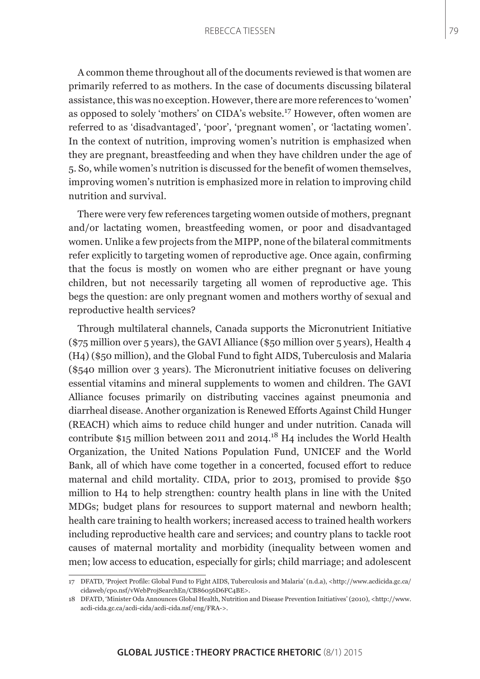A common theme throughout all of the documents reviewed is that women are primarily referred to as mothers. In the case of documents discussing bilateral assistance, this was no exception. However, there are more references to 'women' as opposed to solely 'mothers' on CIDA's website.17 However, often women are referred to as 'disadvantaged', 'poor', 'pregnant women', or 'lactating women'. In the context of nutrition, improving women's nutrition is emphasized when they are pregnant, breastfeeding and when they have children under the age of 5. So, while women's nutrition is discussed for the benefit of women themselves, improving women's nutrition is emphasized more in relation to improving child nutrition and survival.

There were very few references targeting women outside of mothers, pregnant and/or lactating women, breastfeeding women, or poor and disadvantaged women. Unlike a few projects from the MIPP, none of the bilateral commitments refer explicitly to targeting women of reproductive age. Once again, confirming that the focus is mostly on women who are either pregnant or have young children, but not necessarily targeting all women of reproductive age. This begs the question: are only pregnant women and mothers worthy of sexual and reproductive health services?

Through multilateral channels, Canada supports the Micronutrient Initiative (\$75 million over 5 years), the GAVI Alliance (\$50 million over 5 years), Health 4 (H4) (\$50 million), and the Global Fund to fight AIDS, Tuberculosis and Malaria (\$540 million over 3 years). The Micronutrient initiative focuses on delivering essential vitamins and mineral supplements to women and children. The GAVI Alliance focuses primarily on distributing vaccines against pneumonia and diarrheal disease. Another organization is Renewed Efforts Against Child Hunger (REACH) which aims to reduce child hunger and under nutrition. Canada will contribute \$15 million between 2011 and 2014.<sup>18</sup> H4 includes the World Health Organization, the United Nations Population Fund, UNICEF and the World Bank, all of which have come together in a concerted, focused effort to reduce maternal and child mortality. CIDA, prior to 2013, promised to provide \$50 million to H4 to help strengthen: country health plans in line with the United MDGs; budget plans for resources to support maternal and newborn health; health care training to health workers; increased access to trained health workers including reproductive health care and services; and country plans to tackle root causes of maternal mortality and morbidity (inequality between women and men; low access to education, especially for girls; child marriage; and adolescent

<sup>17</sup> DFATD, 'Project Profile: Global Fund to Fight AIDS, Tuberculosis and Malaria' (n.d.a), <http://www.acdicida.gc.ca/ cidaweb/cpo.nsf/vWebProjSearchEn/CB86056D6FC4BE>.

<sup>18</sup> DFATD, 'Minister Oda Announces Global Health, Nutrition and Disease Prevention Initiatives' (2010), <http://www. acdi-cida.gc.ca/acdi-cida/acdi-cida.nsf/eng/FRA->.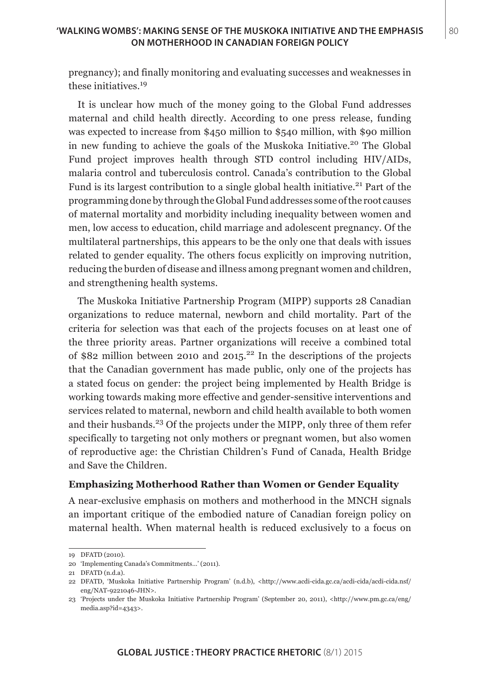pregnancy); and finally monitoring and evaluating successes and weaknesses in these initiatives.<sup>19</sup>

It is unclear how much of the money going to the Global Fund addresses maternal and child health directly. According to one press release, funding was expected to increase from \$450 million to \$540 million, with \$90 million in new funding to achieve the goals of the Muskoka Initiative.<sup>20</sup> The Global Fund project improves health through STD control including HIV/AIDs, malaria control and tuberculosis control. Canada's contribution to the Global Fund is its largest contribution to a single global health initiative.<sup>21</sup> Part of the programming done by through the Global Fund addresses some of the root causes of maternal mortality and morbidity including inequality between women and men, low access to education, child marriage and adolescent pregnancy. Of the multilateral partnerships, this appears to be the only one that deals with issues related to gender equality. The others focus explicitly on improving nutrition, reducing the burden of disease and illness among pregnant women and children, and strengthening health systems.

The Muskoka Initiative Partnership Program (MIPP) supports 28 Canadian organizations to reduce maternal, newborn and child mortality. Part of the criteria for selection was that each of the projects focuses on at least one of the three priority areas. Partner organizations will receive a combined total of \$82 million between 2010 and  $2015$ <sup>22</sup> In the descriptions of the projects that the Canadian government has made public, only one of the projects has a stated focus on gender: the project being implemented by Health Bridge is working towards making more effective and gender-sensitive interventions and services related to maternal, newborn and child health available to both women and their husbands.<sup>23</sup> Of the projects under the MIPP, only three of them refer specifically to targeting not only mothers or pregnant women, but also women of reproductive age: the Christian Children's Fund of Canada, Health Bridge and Save the Children.

## **Emphasizing Motherhood Rather than Women or Gender Equality**

A near-exclusive emphasis on mothers and motherhood in the MNCH signals an important critique of the embodied nature of Canadian foreign policy on maternal health. When maternal health is reduced exclusively to a focus on

<sup>19</sup> DFATD (2010).

<sup>20 &#</sup>x27;Implementing Canada's Commitments…' (2011).

<sup>21</sup> DFATD (n.d.a).

<sup>22</sup> DFATD, 'Muskoka Initiative Partnership Program' (n.d.b), <http://www.acdi-cida.gc.ca/acdi-cida/acdi-cida.nsf/ eng/NAT-9221046-JHN>.

<sup>23</sup> 'Projects under the Muskoka Initiative Partnership Program' (September 20, 2011), <http://www.pm.gc.ca/eng/ media.asp?id=4343>.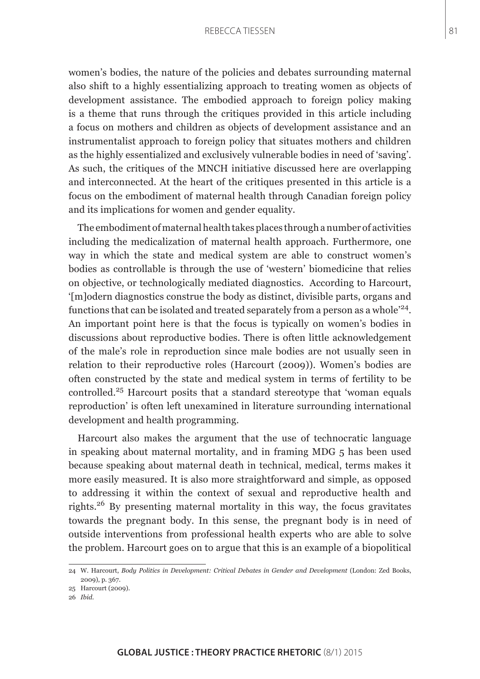women's bodies, the nature of the policies and debates surrounding maternal also shift to a highly essentializing approach to treating women as objects of development assistance. The embodied approach to foreign policy making is a theme that runs through the critiques provided in this article including a focus on mothers and children as objects of development assistance and an instrumentalist approach to foreign policy that situates mothers and children as the highly essentialized and exclusively vulnerable bodies in need of 'saving'. As such, the critiques of the MNCH initiative discussed here are overlapping and interconnected. At the heart of the critiques presented in this article is a focus on the embodiment of maternal health through Canadian foreign policy and its implications for women and gender equality.

The embodiment of maternal health takes places through a number of activities including the medicalization of maternal health approach. Furthermore, one way in which the state and medical system are able to construct women's bodies as controllable is through the use of 'western' biomedicine that relies on objective, or technologically mediated diagnostics. According to Harcourt, '[m]odern diagnostics construe the body as distinct, divisible parts, organs and functions that can be isolated and treated separately from a person as a whole'24. An important point here is that the focus is typically on women's bodies in discussions about reproductive bodies. There is often little acknowledgement of the male's role in reproduction since male bodies are not usually seen in relation to their reproductive roles (Harcourt (2009)). Women's bodies are often constructed by the state and medical system in terms of fertility to be controlled.25 Harcourt posits that a standard stereotype that 'woman equals reproduction' is often left unexamined in literature surrounding international development and health programming.

Harcourt also makes the argument that the use of technocratic language in speaking about maternal mortality, and in framing MDG 5 has been used because speaking about maternal death in technical, medical, terms makes it more easily measured. It is also more straightforward and simple, as opposed to addressing it within the context of sexual and reproductive health and rights.26 By presenting maternal mortality in this way, the focus gravitates towards the pregnant body. In this sense, the pregnant body is in need of outside interventions from professional health experts who are able to solve the problem. Harcourt goes on to argue that this is an example of a biopolitical

<sup>24</sup> W. Harcourt, *Body Politics in Development: Critical Debates in Gender and Development* (London: Zed Books, 2009), p. 367.

<sup>25</sup> Harcourt (2009).

<sup>26</sup> *Ibid*.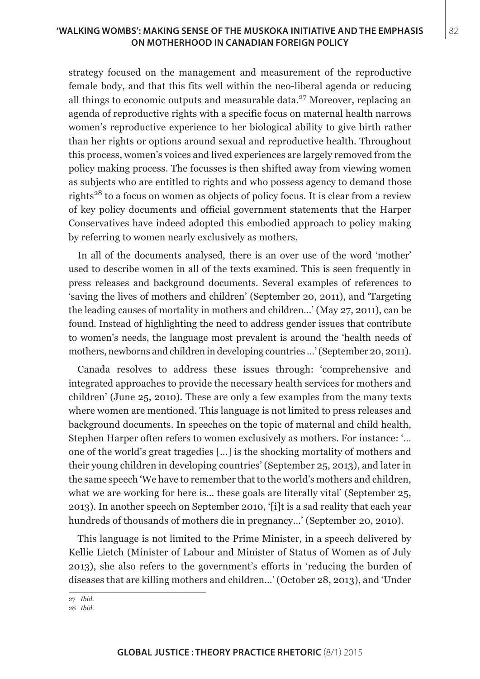## **'WALKING WOMBS': MAKING SENSE OF THE MUSKOKA INITIATIVE AND THE EMPHASIS** 82 **ON MOTHERHOOD IN CANADIAN FOREIGN POLICY**

strategy focused on the management and measurement of the reproductive female body, and that this fits well within the neo-liberal agenda or reducing all things to economic outputs and measurable data. $^{27}$  Moreover, replacing an agenda of reproductive rights with a specific focus on maternal health narrows women's reproductive experience to her biological ability to give birth rather than her rights or options around sexual and reproductive health. Throughout this process, women's voices and lived experiences are largely removed from the policy making process. The focusses is then shifted away from viewing women as subjects who are entitled to rights and who possess agency to demand those rights<sup>28</sup> to a focus on women as objects of policy focus. It is clear from a review of key policy documents and official government statements that the Harper Conservatives have indeed adopted this embodied approach to policy making by referring to women nearly exclusively as mothers.

In all of the documents analysed, there is an over use of the word 'mother' used to describe women in all of the texts examined. This is seen frequently in press releases and background documents. Several examples of references to 'saving the lives of mothers and children' (September 20, 2011), and 'Targeting the leading causes of mortality in mothers and children…' (May 27, 2011), can be found. Instead of highlighting the need to address gender issues that contribute to women's needs, the language most prevalent is around the 'health needs of mothers, newborns and children in developing countries …' (September 20, 2011).

Canada resolves to address these issues through: 'comprehensive and integrated approaches to provide the necessary health services for mothers and children' (June 25, 2010). These are only a few examples from the many texts where women are mentioned. This language is not limited to press releases and background documents. In speeches on the topic of maternal and child health, Stephen Harper often refers to women exclusively as mothers. For instance: '… one of the world's great tragedies […] is the shocking mortality of mothers and their young children in developing countries' (September 25, 2013), and later in the same speech 'We have to remember that to the world's mothers and children, what we are working for here is... these goals are literally vital' (September 25, 2013). In another speech on September 2010, '[i]t is a sad reality that each year hundreds of thousands of mothers die in pregnancy…' (September 20, 2010).

This language is not limited to the Prime Minister, in a speech delivered by Kellie Lietch (Minister of Labour and Minister of Status of Women as of July 2013), she also refers to the government's efforts in 'reducing the burden of diseases that are killing mothers and children…' (October 28, 2013), and 'Under

<sup>27</sup> *Ibid*.

<sup>28</sup> *Ibid*.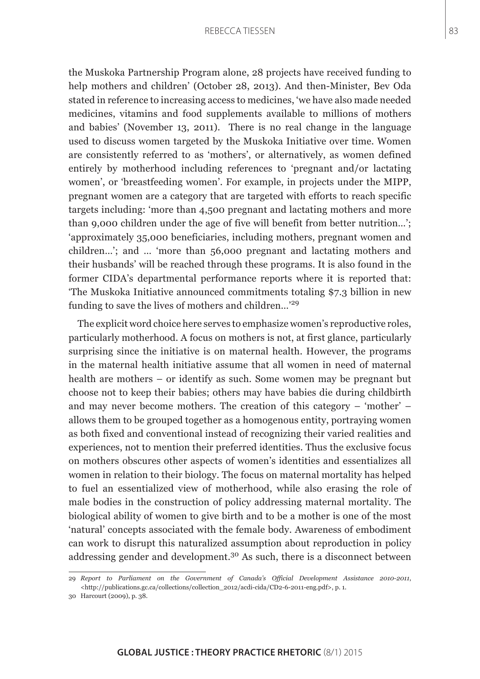the Muskoka Partnership Program alone, 28 projects have received funding to help mothers and children' (October 28, 2013). And then-Minister, Bev Oda stated in reference to increasing access to medicines, 'we have also made needed medicines, vitamins and food supplements available to millions of mothers and babies' (November 13, 2011). There is no real change in the language used to discuss women targeted by the Muskoka Initiative over time. Women are consistently referred to as 'mothers', or alternatively, as women defined entirely by motherhood including references to 'pregnant and/or lactating women', or 'breastfeeding women'. For example, in projects under the MIPP, pregnant women are a category that are targeted with efforts to reach specific targets including: 'more than 4,500 pregnant and lactating mothers and more than 9,000 children under the age of five will benefit from better nutrition…'; 'approximately 35,000 beneficiaries, including mothers, pregnant women and children…'; and … 'more than 56,000 pregnant and lactating mothers and their husbands' will be reached through these programs. It is also found in the former CIDA's departmental performance reports where it is reported that: 'The Muskoka Initiative announced commitments totaling \$7.3 billion in new funding to save the lives of mothers and children…'<sup>29</sup>

The explicit word choice here serves to emphasize women's reproductive roles, particularly motherhood. A focus on mothers is not, at first glance, particularly surprising since the initiative is on maternal health. However, the programs in the maternal health initiative assume that all women in need of maternal health are mothers – or identify as such. Some women may be pregnant but choose not to keep their babies; others may have babies die during childbirth and may never become mothers. The creation of this category – 'mother' – allows them to be grouped together as a homogenous entity, portraying women as both fixed and conventional instead of recognizing their varied realities and experiences, not to mention their preferred identities. Thus the exclusive focus on mothers obscures other aspects of women's identities and essentializes all women in relation to their biology. The focus on maternal mortality has helped to fuel an essentialized view of motherhood, while also erasing the role of male bodies in the construction of policy addressing maternal mortality. The biological ability of women to give birth and to be a mother is one of the most 'natural' concepts associated with the female body. Awareness of embodiment can work to disrupt this naturalized assumption about reproduction in policy addressing gender and development.30 As such, there is a disconnect between

<sup>29</sup> *Report to Parliament on the Government of Canada's Official Development Assistance 2010-2011*, <http://publications.gc.ca/collections/collection\_2012/acdi-cida/CD2-6-2011-eng.pdf>, p. 1.

<sup>30</sup> Harcourt (2009), p. 38.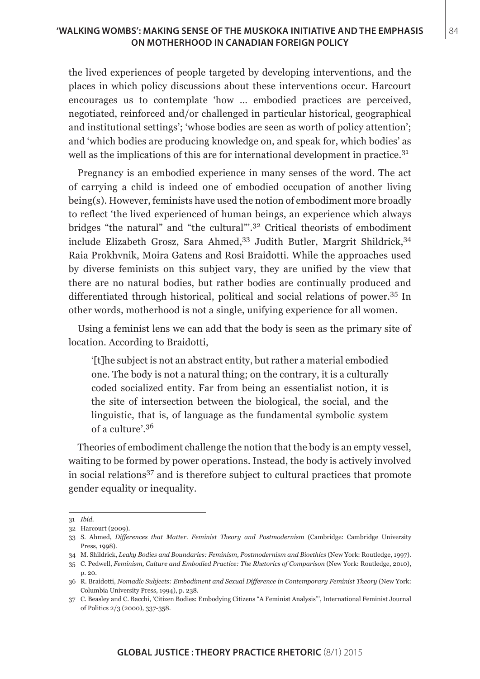## **'WALKING WOMBS': MAKING SENSE OF THE MUSKOKA INITIATIVE AND THE EMPHASIS | 84 ON MOTHERHOOD IN CANADIAN FOREIGN POLICY**

the lived experiences of people targeted by developing interventions, and the places in which policy discussions about these interventions occur. Harcourt encourages us to contemplate 'how … embodied practices are perceived, negotiated, reinforced and/or challenged in particular historical, geographical and institutional settings'; 'whose bodies are seen as worth of policy attention'; and 'which bodies are producing knowledge on, and speak for, which bodies' as well as the implications of this are for international development in practice.<sup>31</sup>

Pregnancy is an embodied experience in many senses of the word. The act of carrying a child is indeed one of embodied occupation of another living being(s). However, feminists have used the notion of embodiment more broadly to reflect 'the lived experienced of human beings, an experience which always bridges "the natural" and "the cultural"'.32 Critical theorists of embodiment include Elizabeth Grosz, Sara Ahmed,<sup>33</sup> Judith Butler, Margrit Shildrick,<sup>34</sup> Raia Prokhvnik, Moira Gatens and Rosi Braidotti. While the approaches used by diverse feminists on this subject vary, they are unified by the view that there are no natural bodies, but rather bodies are continually produced and differentiated through historical, political and social relations of power.35 In other words, motherhood is not a single, unifying experience for all women.

Using a feminist lens we can add that the body is seen as the primary site of location. According to Braidotti,

'[t]he subject is not an abstract entity, but rather a material embodied one. The body is not a natural thing; on the contrary, it is a culturally coded socialized entity. Far from being an essentialist notion, it is the site of intersection between the biological, the social, and the linguistic, that is, of language as the fundamental symbolic system of a culture'.<sup>36</sup>

Theories of embodiment challenge the notion that the body is an empty vessel, waiting to be formed by power operations. Instead, the body is actively involved in social relations37 and is therefore subject to cultural practices that promote gender equality or inequality.

<sup>31</sup> *Ibid*.

<sup>32</sup> Harcourt (2009).

<sup>33</sup> S. Ahmed, *Differences that Matter. Feminist Theory and Postmodernism* (Cambridge: Cambridge University Press, 1998).

<sup>34</sup> M. Shildrick, *Leaky Bodies and Boundaries: Feminism, Postmodernism and Bioethics* (New York: Routledge, 1997).

<sup>35</sup> C. Pedwell, *Feminism, Culture and Embodied Practice: The Rhetorics of Comparison* (New York: Routledge, 2010), p. 20.

<sup>36</sup> R. Braidotti, *Nomadic Subjects: Embodiment and Sexual Difference in Contemporary Feminist Theory* (New York: Columbia University Press, 1994), p. 238.

<sup>37</sup> C. Beasley and C. Bacchi, 'Citizen Bodies: Embodying Citizens "A Feminist Analysis"', International Feminist Journal of Politics 2/3 (2000), 337-358.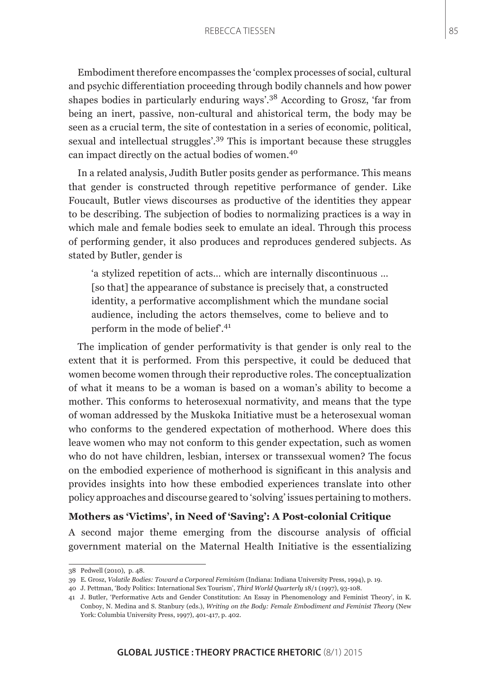Embodiment therefore encompasses the 'complex processes of social, cultural and psychic differentiation proceeding through bodily channels and how power shapes bodies in particularly enduring ways'.38 According to Grosz, 'far from being an inert, passive, non-cultural and ahistorical term, the body may be seen as a crucial term, the site of contestation in a series of economic, political, sexual and intellectual struggles'.39 This is important because these struggles can impact directly on the actual bodies of women.<sup>40</sup>

In a related analysis, Judith Butler posits gender as performance. This means that gender is constructed through repetitive performance of gender. Like Foucault, Butler views discourses as productive of the identities they appear to be describing. The subjection of bodies to normalizing practices is a way in which male and female bodies seek to emulate an ideal. Through this process of performing gender, it also produces and reproduces gendered subjects. As stated by Butler, gender is

'a stylized repetition of acts… which are internally discontinuous … [so that] the appearance of substance is precisely that, a constructed identity, a performative accomplishment which the mundane social audience, including the actors themselves, come to believe and to perform in the mode of belief<sup>'.41</sup>

The implication of gender performativity is that gender is only real to the extent that it is performed. From this perspective, it could be deduced that women become women through their reproductive roles. The conceptualization of what it means to be a woman is based on a woman's ability to become a mother. This conforms to heterosexual normativity, and means that the type of woman addressed by the Muskoka Initiative must be a heterosexual woman who conforms to the gendered expectation of motherhood. Where does this leave women who may not conform to this gender expectation, such as women who do not have children, lesbian, intersex or transsexual women? The focus on the embodied experience of motherhood is significant in this analysis and provides insights into how these embodied experiences translate into other policy approaches and discourse geared to 'solving' issues pertaining to mothers.

## **Mothers as 'Victims', in Need of 'Saving': A Post-colonial Critique**

A second major theme emerging from the discourse analysis of official government material on the Maternal Health Initiative is the essentializing

<sup>38</sup> Pedwell (2010), p. 48.

<sup>39</sup> E. Grosz, *Volatile Bodies: Toward a Corporeal Feminism* (Indiana: Indiana University Press, 1994), p. 19.

<sup>40</sup> J. Pettman, 'Body Politics: International Sex Tourism', *Third World Quarterly* 18/1 (1997), 93-108.

<sup>41</sup> J. Butler, 'Performative Acts and Gender Constitution: An Essay in Phenomenology and Feminist Theory', in K. Conboy, N. Medina and S. Stanbury (eds.), *Writing on the Body: Female Embodiment and Feminist Theory* (New York: Columbia University Press, 1997), 401-417, p. 402.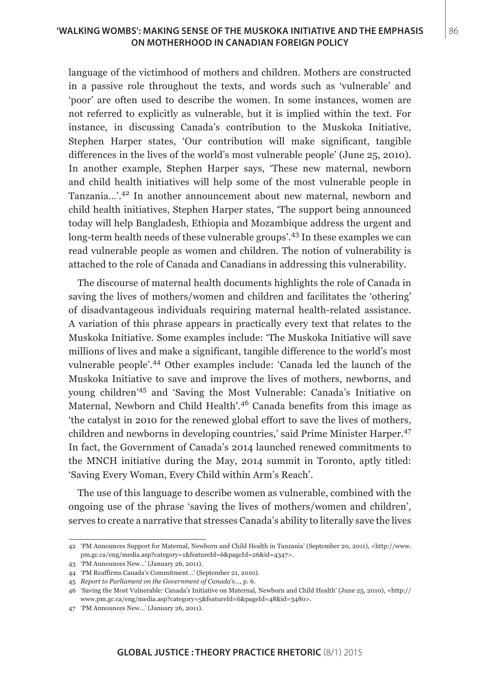## **'WALKING WOMBS': MAKING SENSE OF THE MUSKOKA INITIATIVE AND THE EMPHASIS | 86 ON MOTHERHOOD IN CANADIAN FOREIGN POLICY**

language of the victimhood of mothers and children. Mothers are constructed in a passive role throughout the texts, and words such as 'vulnerable' and 'poor' are often used to describe the women. In some instances, women are not referred to explicitly as vulnerable, but it is implied within the text. For instance, in discussing Canada's contribution to the Muskoka Initiative, Stephen Harper states, 'Our contribution will make significant, tangible differences in the lives of the world's most vulnerable people' (June 25, 2010). In another example, Stephen Harper says, 'These new maternal, newborn and child health initiatives will help some of the most vulnerable people in Tanzania…'.42 In another announcement about new maternal, newborn and child health initiatives, Stephen Harper states, 'The support being announced today will help Bangladesh, Ethiopia and Mozambique address the urgent and long-term health needs of these vulnerable groups'.<sup>43</sup> In these examples we can read vulnerable people as women and children. The notion of vulnerability is attached to the role of Canada and Canadians in addressing this vulnerability.

The discourse of maternal health documents highlights the role of Canada in saving the lives of mothers/women and children and facilitates the 'othering' of disadvantageous individuals requiring maternal health-related assistance. A variation of this phrase appears in practically every text that relates to the Muskoka Initiative. Some examples include: 'The Muskoka Initiative will save millions of lives and make a significant, tangible difference to the world's most vulnerable people'.44 Other examples include: 'Canada led the launch of the Muskoka Initiative to save and improve the lives of mothers, newborns, and young children'45 and 'Saving the Most Vulnerable: Canada's Initiative on Maternal, Newborn and Child Health'.<sup>46</sup> Canada benefits from this image as 'the catalyst in 2010 for the renewed global effort to save the lives of mothers, children and newborns in developing countries,' said Prime Minister Harper.<sup>47</sup> In fact, the Government of Canada's 2014 launched renewed commitments to the MNCH initiative during the May, 2014 summit in Toronto, aptly titled: 'Saving Every Woman, Every Child within Arm's Reach'.

The use of this language to describe women as vulnerable, combined with the ongoing use of the phrase 'saving the lives of mothers/women and children', serves to create a narrative that stresses Canada's ability to literally save the lives

<sup>42</sup> 'PM Announces Support for Maternal, Newborn and Child Health in Tanzania' (September 20, 2011), <http://www. pm.gc.ca/eng/media.asp?category=1&featureId=6&pageId=26&id=4347>.

<sup>43 &#</sup>x27;PM Announces New…' (January 26, 2011).

<sup>44 &#</sup>x27;PM Reaffirms Canada's Commitment…' (September 21, 2010).

<sup>45</sup> *Report to Parliament on the Government of Canada's*…, p. 6.

<sup>46</sup> 'Saving the Most Vulnerable: Canada's Initiative on Maternal, Newborn and Child Health' (June 25, 2010), <http:// www.pm.gc.ca/eng/media.asp?category=5&featureId=6&pageId=48&id=3480>.

<sup>47 &#</sup>x27;PM Announces New…' (January 26, 2011).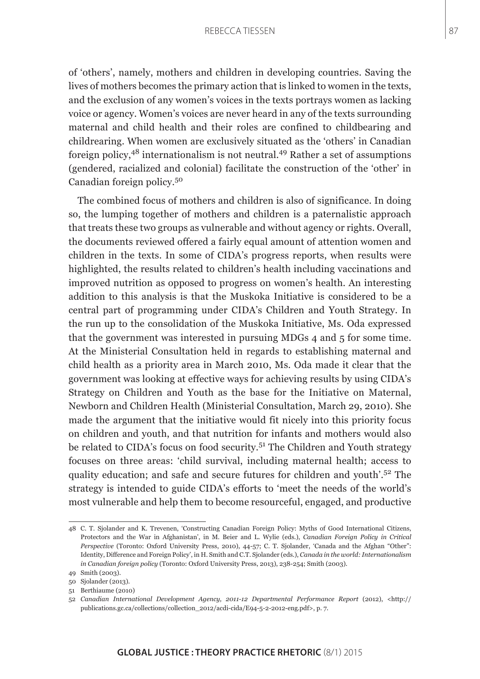of 'others', namely, mothers and children in developing countries. Saving the lives of mothers becomes the primary action that is linked to women in the texts, and the exclusion of any women's voices in the texts portrays women as lacking voice or agency. Women's voices are never heard in any of the texts surrounding maternal and child health and their roles are confined to childbearing and childrearing. When women are exclusively situated as the 'others' in Canadian foreign policy, $48$  internationalism is not neutral. $49$  Rather a set of assumptions (gendered, racialized and colonial) facilitate the construction of the 'other' in Canadian foreign policy.<sup>50</sup>

The combined focus of mothers and children is also of significance. In doing so, the lumping together of mothers and children is a paternalistic approach that treats these two groups as vulnerable and without agency or rights. Overall, the documents reviewed offered a fairly equal amount of attention women and children in the texts. In some of CIDA's progress reports, when results were highlighted, the results related to children's health including vaccinations and improved nutrition as opposed to progress on women's health. An interesting addition to this analysis is that the Muskoka Initiative is considered to be a central part of programming under CIDA's Children and Youth Strategy. In the run up to the consolidation of the Muskoka Initiative, Ms. Oda expressed that the government was interested in pursuing MDGs 4 and 5 for some time. At the Ministerial Consultation held in regards to establishing maternal and child health as a priority area in March 2010, Ms. Oda made it clear that the government was looking at effective ways for achieving results by using CIDA's Strategy on Children and Youth as the base for the Initiative on Maternal, Newborn and Children Health (Ministerial Consultation, March 29, 2010). She made the argument that the initiative would fit nicely into this priority focus on children and youth, and that nutrition for infants and mothers would also be related to CIDA's focus on food security.<sup>51</sup> The Children and Youth strategy focuses on three areas: 'child survival, including maternal health; access to quality education; and safe and secure futures for children and youth'.52 The strategy is intended to guide CIDA's efforts to 'meet the needs of the world's most vulnerable and help them to become resourceful, engaged, and productive

<sup>48</sup> C. T. Sjolander and K. Trevenen, 'Constructing Canadian Foreign Policy: Myths of Good International Citizens, Protectors and the War in Afghanistan', in M. Beier and L. Wylie (eds.), *Canadian Foreign Policy in Critical Perspective* (Toronto: Oxford University Press, 2010), 44-57; C. T. Sjolander, 'Canada and the Afghan "Other": Identity, Difference and Foreign Policy', in H. Smith and C.T. Sjolander (eds.), *Canada in the world: Internationalism in Canadian foreign policy* (Toronto: Oxford University Press, 2013), 238-254; Smith (2003).

<sup>49</sup> Smith (2003).

<sup>50</sup> Sjolander (2013).

<sup>51</sup> Berthiaume (2010)

<sup>52</sup> *Canadian International Development Agency, 2011-12 Departmental Performance Report* (2012), <http:// publications.gc.ca/collections/collection\_2012/acdi-cida/E94-5-2-2012-eng.pdf>, p. 7.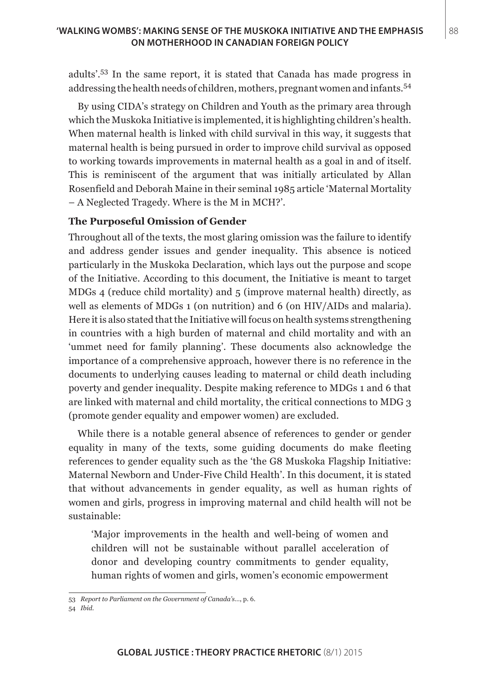adults'.53 In the same report, it is stated that Canada has made progress in addressing the health needs of children, mothers, pregnant women and infants.<sup>54</sup>

By using CIDA's strategy on Children and Youth as the primary area through which the Muskoka Initiative is implemented, it is highlighting children's health. When maternal health is linked with child survival in this way, it suggests that maternal health is being pursued in order to improve child survival as opposed to working towards improvements in maternal health as a goal in and of itself. This is reminiscent of the argument that was initially articulated by Allan Rosenfield and Deborah Maine in their seminal 1985 article 'Maternal Mortality – A Neglected Tragedy. Where is the M in MCH?'.

## **The Purposeful Omission of Gender**

Throughout all of the texts, the most glaring omission was the failure to identify and address gender issues and gender inequality. This absence is noticed particularly in the Muskoka Declaration, which lays out the purpose and scope of the Initiative. According to this document, the Initiative is meant to target MDGs 4 (reduce child mortality) and 5 (improve maternal health) directly, as well as elements of MDGs 1 (on nutrition) and 6 (on HIV/AIDs and malaria). Here it is also stated that the Initiative will focus on health systems strengthening in countries with a high burden of maternal and child mortality and with an 'ummet need for family planning'. These documents also acknowledge the importance of a comprehensive approach, however there is no reference in the documents to underlying causes leading to maternal or child death including poverty and gender inequality. Despite making reference to MDGs 1 and 6 that are linked with maternal and child mortality, the critical connections to MDG 3 (promote gender equality and empower women) are excluded.

While there is a notable general absence of references to gender or gender equality in many of the texts, some guiding documents do make fleeting references to gender equality such as the 'the G8 Muskoka Flagship Initiative: Maternal Newborn and Under-Five Child Health'. In this document, it is stated that without advancements in gender equality, as well as human rights of women and girls, progress in improving maternal and child health will not be sustainable:

'Major improvements in the health and well-being of women and children will not be sustainable without parallel acceleration of donor and developing country commitments to gender equality, human rights of women and girls, women's economic empowerment

54 *Ibid*.

<sup>53</sup> *Report to Parliament on the Government of Canada's*…, p. 6.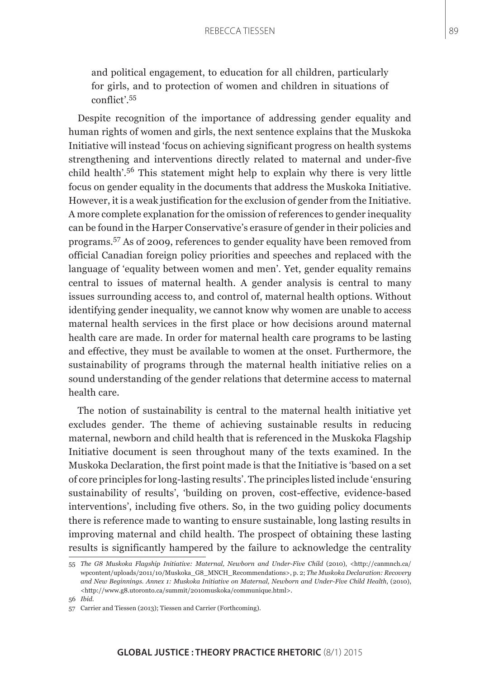and political engagement, to education for all children, particularly for girls, and to protection of women and children in situations of conflict'.<sup>55</sup>

Despite recognition of the importance of addressing gender equality and human rights of women and girls, the next sentence explains that the Muskoka Initiative will instead 'focus on achieving significant progress on health systems strengthening and interventions directly related to maternal and under-five child health'.56 This statement might help to explain why there is very little focus on gender equality in the documents that address the Muskoka Initiative. However, it is a weak justification for the exclusion of gender from the Initiative. A more complete explanation for the omission of references to gender inequality can be found in the Harper Conservative's erasure of gender in their policies and programs.57 As of 2009, references to gender equality have been removed from official Canadian foreign policy priorities and speeches and replaced with the language of 'equality between women and men'. Yet, gender equality remains central to issues of maternal health. A gender analysis is central to many issues surrounding access to, and control of, maternal health options. Without identifying gender inequality, we cannot know why women are unable to access maternal health services in the first place or how decisions around maternal health care are made. In order for maternal health care programs to be lasting and effective, they must be available to women at the onset. Furthermore, the sustainability of programs through the maternal health initiative relies on a sound understanding of the gender relations that determine access to maternal health care.

The notion of sustainability is central to the maternal health initiative yet excludes gender. The theme of achieving sustainable results in reducing maternal, newborn and child health that is referenced in the Muskoka Flagship Initiative document is seen throughout many of the texts examined. In the Muskoka Declaration, the first point made is that the Initiative is 'based on a set of core principles for long-lasting results'. The principles listed include 'ensuring sustainability of results', 'building on proven, cost-effective, evidence-based interventions', including five others. So, in the two guiding policy documents there is reference made to wanting to ensure sustainable, long lasting results in improving maternal and child health. The prospect of obtaining these lasting results is significantly hampered by the failure to acknowledge the centrality

<sup>55</sup> *The G8 Muskoka Flagship Initiative: Maternal, Newborn and Under-Five Child* (2010), <http://canmnch.ca/ wpcontent/uploads/2011/10/Muskoka\_G8\_MNCH\_Recommendations>, p. 2; *The Muskoka Declaration: Recovery and New Beginnings. Annex 1: Muskoka Initiative on Maternal, Newborn and Under-Five Child Health*, (2010), <http://www.g8.utoronto.ca/summit/2010muskoka/communique.html>.

<sup>56</sup> *Ibid*.

<sup>57</sup> Carrier and Tiessen (2013); Tiessen and Carrier (Forthcoming).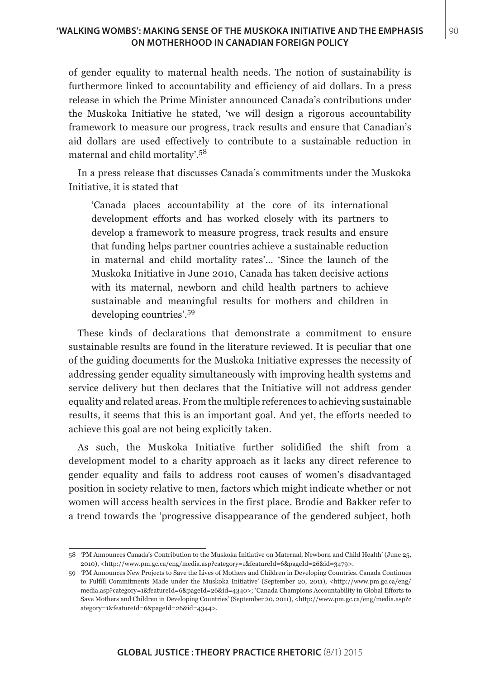## **'WALKING WOMBS': MAKING SENSE OF THE MUSKOKA INITIATIVE AND THE EMPHASIS | 90 ON MOTHERHOOD IN CANADIAN FOREIGN POLICY**

of gender equality to maternal health needs. The notion of sustainability is furthermore linked to accountability and efficiency of aid dollars. In a press release in which the Prime Minister announced Canada's contributions under the Muskoka Initiative he stated, 'we will design a rigorous accountability framework to measure our progress, track results and ensure that Canadian's aid dollars are used effectively to contribute to a sustainable reduction in maternal and child mortality'.<sup>58</sup>

In a press release that discusses Canada's commitments under the Muskoka Initiative, it is stated that

'Canada places accountability at the core of its international development efforts and has worked closely with its partners to develop a framework to measure progress, track results and ensure that funding helps partner countries achieve a sustainable reduction in maternal and child mortality rates'… 'Since the launch of the Muskoka Initiative in June 2010, Canada has taken decisive actions with its maternal, newborn and child health partners to achieve sustainable and meaningful results for mothers and children in developing countries'.59

These kinds of declarations that demonstrate a commitment to ensure sustainable results are found in the literature reviewed. It is peculiar that one of the guiding documents for the Muskoka Initiative expresses the necessity of addressing gender equality simultaneously with improving health systems and service delivery but then declares that the Initiative will not address gender equality and related areas. From the multiple references to achieving sustainable results, it seems that this is an important goal. And yet, the efforts needed to achieve this goal are not being explicitly taken.

As such, the Muskoka Initiative further solidified the shift from a development model to a charity approach as it lacks any direct reference to gender equality and fails to address root causes of women's disadvantaged position in society relative to men, factors which might indicate whether or not women will access health services in the first place. Brodie and Bakker refer to a trend towards the 'progressive disappearance of the gendered subject, both

<sup>58</sup> 'PM Announces Canada's Contribution to the Muskoka Initiative on Maternal, Newborn and Child Health' (June 25, 2010), <http://www.pm.gc.ca/eng/media.asp?category=1&featureId=6&pageId=26&id=3479>.

<sup>59</sup> 'PM Announces New Projects to Save the Lives of Mothers and Children in Developing Countries. Canada Continues to Fulfill Commitments Made under the Muskoka Initiative' (September 20, 2011), <http://www.pm.gc.ca/eng/ media.asp?category=1&featureId=6&pageId=26&id=4340>; 'Canada Champions Accountability in Global Efforts to Save Mothers and Children in Developing Countries' (September 20, 2011), <http://www.pm.gc.ca/eng/media.asp?c ategory=1&featureId=6&pageId=26&id=4344>.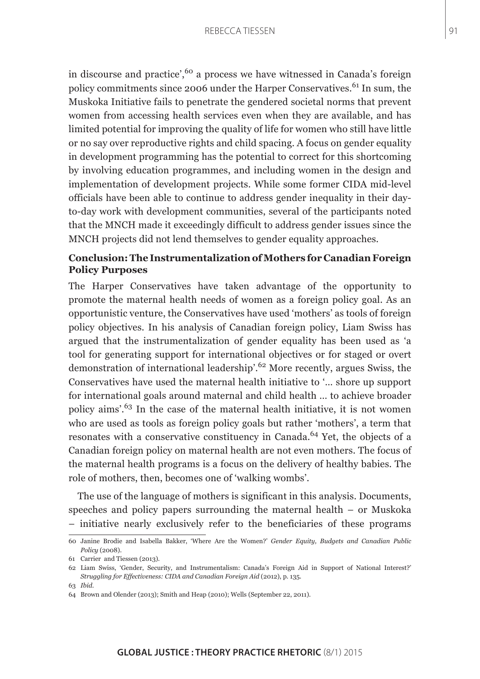in discourse and practice',<sup>60</sup> a process we have witnessed in Canada's foreign policy commitments since 2006 under the Harper Conservatives.<sup>61</sup> In sum, the Muskoka Initiative fails to penetrate the gendered societal norms that prevent women from accessing health services even when they are available, and has limited potential for improving the quality of life for women who still have little or no say over reproductive rights and child spacing. A focus on gender equality in development programming has the potential to correct for this shortcoming by involving education programmes, and including women in the design and implementation of development projects. While some former CIDA mid-level officials have been able to continue to address gender inequality in their dayto-day work with development communities, several of the participants noted that the MNCH made it exceedingly difficult to address gender issues since the MNCH projects did not lend themselves to gender equality approaches.

## **Conclusion: The Instrumentalization of Mothers for Canadian Foreign Policy Purposes**

The Harper Conservatives have taken advantage of the opportunity to promote the maternal health needs of women as a foreign policy goal. As an opportunistic venture, the Conservatives have used 'mothers' as tools of foreign policy objectives. In his analysis of Canadian foreign policy, Liam Swiss has argued that the instrumentalization of gender equality has been used as 'a tool for generating support for international objectives or for staged or overt demonstration of international leadership'.62 More recently, argues Swiss, the Conservatives have used the maternal health initiative to '… shore up support for international goals around maternal and child health … to achieve broader policy aims'.63 In the case of the maternal health initiative, it is not women who are used as tools as foreign policy goals but rather 'mothers', a term that resonates with a conservative constituency in Canada.<sup>64</sup> Yet, the objects of a Canadian foreign policy on maternal health are not even mothers. The focus of the maternal health programs is a focus on the delivery of healthy babies. The role of mothers, then, becomes one of 'walking wombs'.

The use of the language of mothers is significant in this analysis. Documents, speeches and policy papers surrounding the maternal health – or Muskoka – initiative nearly exclusively refer to the beneficiaries of these programs

<sup>60</sup> Janine Brodie and Isabella Bakker, 'Where Are the Women?' *Gender Equity, Budgets and Canadian Public Policy* (2008).

<sup>61</sup> Carrier and Tiessen (2013).

<sup>62</sup> Liam Swiss, 'Gender, Security, and Instrumentalism: Canada's Foreign Aid in Support of National Interest?' *Struggling for Effectiveness: CIDA and Canadian Foreign Aid* (2012), p. 135.

<sup>63</sup> *Ibid*.

<sup>64</sup> Brown and Olender (2013); Smith and Heap (2010); Wells (September 22, 2011).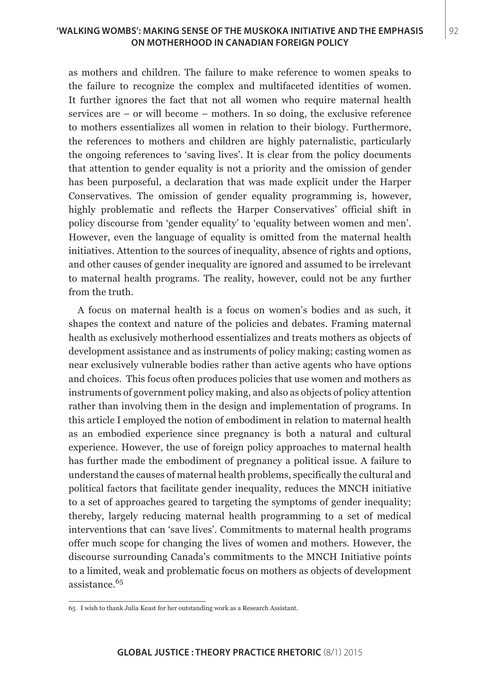## **'WALKING WOMBS': MAKING SENSE OF THE MUSKOKA INITIATIVE AND THE EMPHASIS** 92 **ON MOTHERHOOD IN CANADIAN FOREIGN POLICY**

as mothers and children. The failure to make reference to women speaks to the failure to recognize the complex and multifaceted identities of women. It further ignores the fact that not all women who require maternal health services are – or will become – mothers. In so doing, the exclusive reference to mothers essentializes all women in relation to their biology. Furthermore, the references to mothers and children are highly paternalistic, particularly the ongoing references to 'saving lives'. It is clear from the policy documents that attention to gender equality is not a priority and the omission of gender has been purposeful, a declaration that was made explicit under the Harper Conservatives. The omission of gender equality programming is, however, highly problematic and reflects the Harper Conservatives' official shift in policy discourse from 'gender equality' to 'equality between women and men'. However, even the language of equality is omitted from the maternal health initiatives. Attention to the sources of inequality, absence of rights and options, and other causes of gender inequality are ignored and assumed to be irrelevant to maternal health programs. The reality, however, could not be any further from the truth.

A focus on maternal health is a focus on women's bodies and as such, it shapes the context and nature of the policies and debates. Framing maternal health as exclusively motherhood essentializes and treats mothers as objects of development assistance and as instruments of policy making; casting women as near exclusively vulnerable bodies rather than active agents who have options and choices. This focus often produces policies that use women and mothers as instruments of government policy making, and also as objects of policy attention rather than involving them in the design and implementation of programs. In this article I employed the notion of embodiment in relation to maternal health as an embodied experience since pregnancy is both a natural and cultural experience. However, the use of foreign policy approaches to maternal health has further made the embodiment of pregnancy a political issue. A failure to understand the causes of maternal health problems, specifically the cultural and political factors that facilitate gender inequality, reduces the MNCH initiative to a set of approaches geared to targeting the symptoms of gender inequality; thereby, largely reducing maternal health programming to a set of medical interventions that can 'save lives'. Commitments to maternal health programs offer much scope for changing the lives of women and mothers. However, the discourse surrounding Canada's commitments to the MNCH Initiative points to a limited, weak and problematic focus on mothers as objects of development assistance.<sup>65</sup>

<sup>65</sup> I wish to thank Julia Keast for her outstanding work as a Research Assistant.